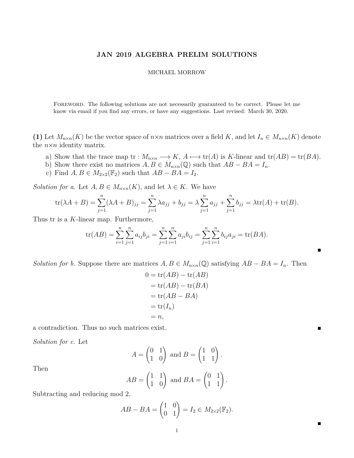## **JAN 2019 ALGEBRA PRELIM SOLUTIONS**

## MICHAEL MORROW

Foreword. The following solutions are not necessarily guaranteed to be correct. Please let me know via email if you find any errors, or have any suggestions. Last revised: March 30, 2020.

**(1)** Let  $M_{n\times n}(K)$  be the vector space of  $n\times n$  matrices over a field K, and let  $I_n \in M_{n\times n}(K)$  denote the *n*×*n* identity matrix.

- a) Show that the trace map tr :  $M_{n \times n} \longrightarrow K$ ,  $A \longmapsto \text{tr}(A)$  is *K*-linear and  $\text{tr}(AB) = \text{tr}(BA)$ .
- b) Show there exist no matrices  $A, B \in M_{n \times n}(\mathbb{Q})$  such that  $AB BA = I_n$ .
- c) Find  $A, B \in M_{2 \times 2}(\mathbb{F}_2)$  such that  $AB BA = I_2$ .

*Solution for a.* Let  $A, B \in M_{n \times n}(K)$ , and let  $\lambda \in K$ . We have

$$
\text{tr}(\lambda A + B) = \sum_{j=1}^{n} (\lambda A + B)_{jj} = \sum_{j=1}^{n} \lambda a_{jj} + b_{jj} = \lambda \sum_{j=1}^{n} a_{jj} + \sum_{j=1}^{n} b_{jj} = \lambda \text{tr}(A) + \text{tr}(B).
$$

Thus tr is a *K*-linear map. Furthermore,

$$
\text{tr}(AB) = \sum_{i=1}^{n} \sum_{j=1}^{n} a_{ij} b_{ji} = \sum_{j=1}^{n} \sum_{i=1}^{n} a_{ji} b_{ij} = \sum_{j=1}^{n} \sum_{i=1}^{n} b_{ij} a_{ji} = \text{tr}(BA).
$$

п

 $\blacksquare$ 

*Solution for b.* Suppose there are matrices  $A, B \in M_{n \times n}(\mathbb{Q})$  satisfying  $AB - BA = I_n$ . Then

$$
0 = \text{tr}(AB) - \text{tr}(AB)
$$
  
= tr(AB) - tr(BA)  
= tr(AB - BA)  
= tr(I<sub>n</sub>)  
= n,

a contradiction. Thus no such matrices exist.

*Solution for c.* Let

$$
A = \begin{pmatrix} 0 & 1 \\ 1 & 0 \end{pmatrix} \text{ and } B = \begin{pmatrix} 1 & 0 \\ 1 & 1 \end{pmatrix}.
$$
  

$$
B = \begin{pmatrix} 1 & 1 \\ 1 & 0 \end{pmatrix} \text{ and } BA = \begin{pmatrix} 0 & 1 \\ 1 & 1 \end{pmatrix}
$$

*.*

Then

$$
AB = \begin{pmatrix} 1 & 1 \\ 1 & 0 \end{pmatrix} \text{ and } BA = \begin{pmatrix} 0 & 1 \\ 1 & 1 \end{pmatrix}
$$

Subtracting and reducing mod 2,

$$
AB-BA = \begin{pmatrix} 1 & 0 \\ 0 & 1 \end{pmatrix} = I_2 \in M_{2 \times 2}(\mathbb{F}_2).
$$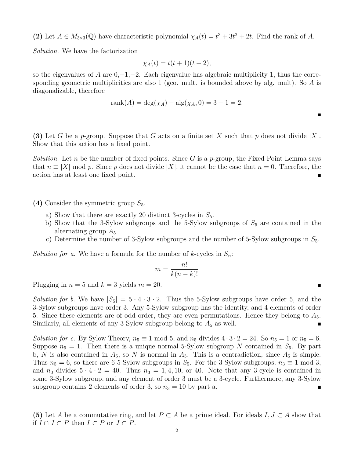(2) Let  $A \in M_{3\times3}(\mathbb{Q})$  have characteristic polynomial  $\chi_A(t) = t^3 + 3t^2 + 2t$ . Find the rank of *A*.

*Solution.* We have the factorization

$$
\chi_A(t) = t(t+1)(t+2),
$$

so the eigenvalues of *A* are  $0, -1, -2$ . Each eigenvalue has algebraic multiplicity 1, thus the corresponding geometric multiplicities are also 1 (geo. mult. is bounded above by alg. mult). So *A* is diagonalizable, therefore

$$
rank(A) = deg(\chi_A) - alg(\chi_A, 0) = 3 - 1 = 2.
$$

п

**(3)** Let *G* be a *p*-group. Suppose that *G* acts on a finite set *X* such that *p* does not divide |*X*|. Show that this action has a fixed point.

*Solution.* Let *n* be the number of fixed points. Since *G* is a *p*-group, the Fixed Point Lemma says that  $n \equiv |X| \mod p$ . Since p does not divide |X|, it cannot be the case that  $n = 0$ . Therefore, the action has at least one fixed point.

(4) Consider the symmetric group  $S_5$ .

- a) Show that there are exactly 20 distinct 3-cycles in  $S_5$ .
- b) Show that the 3-Sylow subgroups and the 5-Sylow subgroups of  $S_5$  are contained in the alternating group *A*5.
- c) Determine the number of 3-Sylow subgroups and the number of 5-Sylow subgroups in *S*5.

*Solution for a.* We have a formula for the number of  $k$ -cycles in  $S_n$ :

$$
m = \frac{n!}{k(n-k)!}
$$

Plugging in  $n = 5$  and  $k = 3$  yields  $m = 20$ .

*Solution for b.* We have  $|S_5| = 5 \cdot 4 \cdot 3 \cdot 2$ . Thus the 5-Sylow subgroups have order 5, and the 3-Sylow subgroups have order 3. Any 5-Sylow subgroup has the identity, and 4 elements of order 5. Since these elements are of odd order, they are even permutations. Hence they belong to *A*5. Similarly, all elements of any 3-Sylow subgroup belong to  $A_5$  as well.

*Solution for c.* By Sylow Theory,  $n_5 \equiv 1 \mod 5$ , and  $n_5$  divides  $4 \cdot 3 \cdot 2 = 24$ . So  $n_5 = 1$  or  $n_5 = 6$ . Suppose  $n_5 = 1$ . Then there is a unique normal 5-Sylow subgroup N contained in  $S_5$ . By part b, *N* is also contained in  $A_5$ , so *N* is normal in  $A_5$ . This is a contradiction, since  $A_5$  is simple. Thus  $n_5 = 6$ , so there are 6 5-Sylow subgroups in  $S_5$ . For the 3-Sylow subgroups,  $n_3 \equiv 1 \mod 3$ , and  $n_3$  divides  $5 \cdot 4 \cdot 2 = 40$ . Thus  $n_3 = 1, 4, 10$ , or 40. Note that any 3-cycle is contained in some 3-Sylow subgroup, and any element of order 3 must be a 3-cycle. Furthermore, any 3-Sylow subgroup contains 2 elements of order 3, so  $n_3 = 10$  by part a.

**(5)** Let *A* be a commutative ring, and let  $P \subset A$  be a prime ideal. For ideals  $I, J \subset A$  show that if *I* ∩ *J* ⊂ *P* then *I* ⊂ *P* or *J* ⊂ *P*.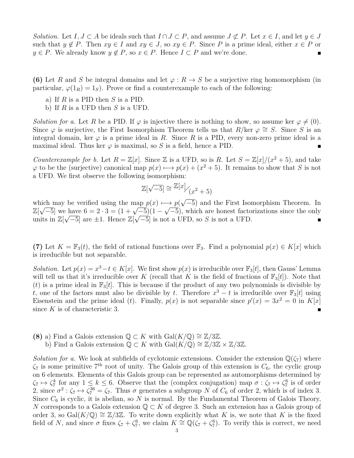*Solution.* Let  $I, J \subset A$  be ideals such that  $I \cap J \subset P$ , and assume  $J \not\subset P$ . Let  $x \in I$ , and let  $y \in J$ such that  $y \notin P$ . Then  $xy \in I$  and  $xy \in J$ , so  $xy \in P$ . Since P is a prime ideal, either  $x \in P$  or *y* ∈ *P*. We already know *y* ∉ *P*, so *x* ∈ *P*. Hence *I* ⊂ *P* and we're done.

**(6)** Let *R* and *S* be integral domains and let  $\varphi : R \to S$  be a surjective ring homomorphism (in particular,  $\varphi(1_R) = 1_S$ . Prove or find a counterexample to each of the following:

- a) If *R* is a PID then *S* is a PID.
- b) If *R* is a UFD then *S* is a UFD.

*Solution for a.* Let *R* be a PID. If  $\varphi$  is injective there is nothing to show, so assume ker  $\varphi \neq (0)$ . Since  $\varphi$  is surjective, the First Isomorphism Theorem tells us that *R*/ker  $\varphi \cong S$ . Since *S* is an integral domain, ker  $\varphi$  is a prime ideal in *R*. Since *R* is a PID, every non-zero prime ideal is a maximal ideal. Thus ker  $\varphi$  is maximal, so *S* is a field, hence a PID.

*Counterexample for b.* Let  $R = \mathbb{Z}[x]$ . Since  $\mathbb{Z}$  is a UFD, so is R. Let  $S = \mathbb{Z}[x]/(x^2 + 5)$ , and take  $\varphi$  to be the (surjective) canonical map  $p(x) \mapsto p(x) + (x^2 + 5)$ . It remains to show that *S* is not a UFD. We first observe the following isomorphism:

$$
\mathbb{Z}[\sqrt{-5}] \cong \mathbb{Z}[x] / (x^2 + 5)
$$

which may be verified using the map  $p(x) \mapsto p(x)$ ich may be verified using the map  $p(x) \mapsto p(\sqrt{-5})$  and the First Isomorphism Theorem. In which may be verified using the map  $p(x) \mapsto p(\sqrt{-5})$  and the First isomorphism Theorem. In<br>  $\mathbb{Z}[\sqrt{-5}]$  we have  $6 = 2 \cdot 3 = (1 + \sqrt{-5})(1 - \sqrt{-5})$ , which are honest factorizations since the only units in  $\mathbb{Z}[\sqrt{-5}]$  are  $\pm 1$ . Hence  $\mathbb{Z}[\sqrt{-5}]$  is not a UFD, so *S* is not a UFD.

(7) Let  $K = \mathbb{F}_3(t)$ , the field of rational functions over  $\mathbb{F}_3$ . Find a polynomial  $p(x) \in K[x]$  which is irreducible but not separable.

*Solution.* Let  $p(x) = x^3 - t \in K[x]$ . We first show  $p(x)$  is irreducible over  $\mathbb{F}_3[t]$ , then Gauss' Lemma will tell us that it's irreducible over *K* (recall that *K* is the field of fractions of  $\mathbb{F}_3[t]$ ). Note that (*t*) is a prime ideal in  $\mathbb{F}_3[t]$ . This is because if the product of any two polynomials is divisible by *t*, one of the factors must also be divisible by *t*. Therefore  $x^3 - t$  is irreducible over  $\mathbb{F}_3[t]$  using Eisenstein and the prime ideal (*t*). Finally,  $p(x)$  is not separable since  $p'(x) = 3x^2 = 0$  in  $K[x]$ since *K* is of characteristic 3.

**(8)** a) Find a Galois extension  $\mathbb{Q} \subset K$  with  $Gal(K/\mathbb{Q}) \cong \mathbb{Z}/3\mathbb{Z}$ . b) Find a Galois extension  $\mathbb{Q} \subset K$  with  $Gal(K/\mathbb{Q}) \cong \mathbb{Z}/3\mathbb{Z} \times \mathbb{Z}/3\mathbb{Z}$ .

*Solution for a.* We look at subfields of cyclotomic extensions. Consider the extension  $\mathbb{Q}(\zeta_7)$  where  $\zeta_7$  is some primitive  $7<sup>th</sup>$  root of unity. The Galois group of this extension is  $C_6$ , the cyclic group on 6 elements. Elements of this Galois group can be represented as automorphisms determined by  $\zeta_7 \mapsto \zeta_7^k$  for any  $1 \leq k \leq 6$ . Observe that the (complex conjugation) map  $\sigma : \zeta_7 \mapsto \zeta_7^6$  is of order 2, since  $\sigma^2$ :  $\zeta_7 \mapsto \zeta_7^{36} = \zeta_7$ . Thus  $\sigma$  generates a subgroup *N* of  $C_6$  of order 2, which is of index 3. Since  $C_6$  is cyclic, it is abelian, so  $N$  is normal. By the Fundamental Theorem of Galois Theory, *N* corresponds to a Galois extension  $\mathbb{Q} \subset K$  of degree 3. Such an extension has a Galois group of order 3, so Gal( $K/\mathbb{Q}$ ) ≅  $\mathbb{Z}/3\mathbb{Z}$ . To write down explicitly what *K* is, we note that *K* is the fixed field of *N*, and since  $\sigma$  fixes  $\zeta_7 + \zeta_7^6$ , we claim  $K \cong \mathbb{Q}(\zeta_7 + \zeta_7^6)$ . To verify this is correct, we need